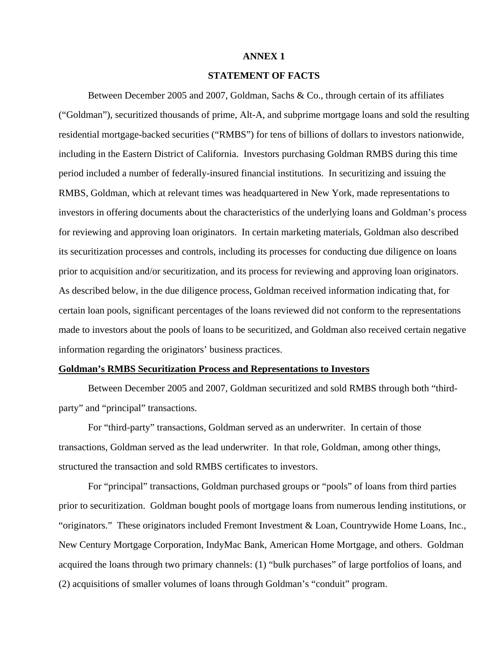# **ANNEX 1**

## **STATEMENT OF FACTS**

Between December 2005 and 2007, Goldman, Sachs & Co., through certain of its affiliates ("Goldman"), securitized thousands of prime, Alt-A, and subprime mortgage loans and sold the resulting residential mortgage-backed securities ("RMBS") for tens of billions of dollars to investors nationwide, including in the Eastern District of California. Investors purchasing Goldman RMBS during this time period included a number of federally-insured financial institutions. In securitizing and issuing the RMBS, Goldman, which at relevant times was headquartered in New York, made representations to investors in offering documents about the characteristics of the underlying loans and Goldman's process for reviewing and approving loan originators. In certain marketing materials, Goldman also described its securitization processes and controls, including its processes for conducting due diligence on loans prior to acquisition and/or securitization, and its process for reviewing and approving loan originators. As described below, in the due diligence process, Goldman received information indicating that, for certain loan pools, significant percentages of the loans reviewed did not conform to the representations made to investors about the pools of loans to be securitized, and Goldman also received certain negative information regarding the originators' business practices.

## **Goldman's RMBS Securitization Process and Representations to Investors**

Between December 2005 and 2007, Goldman securitized and sold RMBS through both "thirdparty" and "principal" transactions.

For "third-party" transactions, Goldman served as an underwriter. In certain of those transactions, Goldman served as the lead underwriter. In that role, Goldman, among other things, structured the transaction and sold RMBS certificates to investors.

For "principal" transactions, Goldman purchased groups or "pools" of loans from third parties prior to securitization. Goldman bought pools of mortgage loans from numerous lending institutions, or "originators." These originators included Fremont Investment & Loan, Countrywide Home Loans, Inc., New Century Mortgage Corporation, IndyMac Bank, American Home Mortgage, and others. Goldman acquired the loans through two primary channels: (1) "bulk purchases" of large portfolios of loans, and (2) acquisitions of smaller volumes of loans through Goldman's "conduit" program.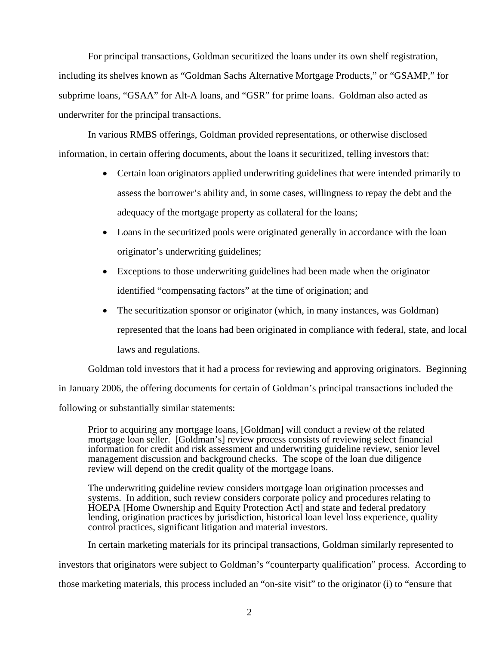For principal transactions, Goldman securitized the loans under its own shelf registration, including its shelves known as "Goldman Sachs Alternative Mortgage Products," or "GSAMP," for subprime loans, "GSAA" for Alt-A loans, and "GSR" for prime loans. Goldman also acted as underwriter for the principal transactions.

In various RMBS offerings, Goldman provided representations, or otherwise disclosed information, in certain offering documents, about the loans it securitized, telling investors that:

- Certain loan originators applied underwriting guidelines that were intended primarily to assess the borrower's ability and, in some cases, willingness to repay the debt and the adequacy of the mortgage property as collateral for the loans;
- Loans in the securitized pools were originated generally in accordance with the loan originator's underwriting guidelines;
- Exceptions to those underwriting guidelines had been made when the originator identified "compensating factors" at the time of origination; and
- The securitization sponsor or originator (which, in many instances, was Goldman) represented that the loans had been originated in compliance with federal, state, and local laws and regulations.

Goldman told investors that it had a process for reviewing and approving originators. Beginning

in January 2006, the offering documents for certain of Goldman's principal transactions included the

following or substantially similar statements:

Prior to acquiring any mortgage loans, [Goldman] will conduct a review of the related mortgage loan seller. [Goldman's] review process consists of reviewing select financial information for credit and risk assessment and underwriting guideline review, senior level management discussion and background checks. The scope of the loan due diligence review will depend on the credit quality of the mortgage loans.

The underwriting guideline review considers mortgage loan origination processes and systems. In addition, such review considers corporate policy and procedures relating to HOEPA [Home Ownership and Equity Protection Act] and state and federal predatory lending, origination practices by jurisdiction, historical loan level loss experience, quality control practices, significant litigation and material investors.

In certain marketing materials for its principal transactions, Goldman similarly represented to

investors that originators were subject to Goldman's "counterparty qualification" process. According to

those marketing materials, this process included an "on-site visit" to the originator (i) to "ensure that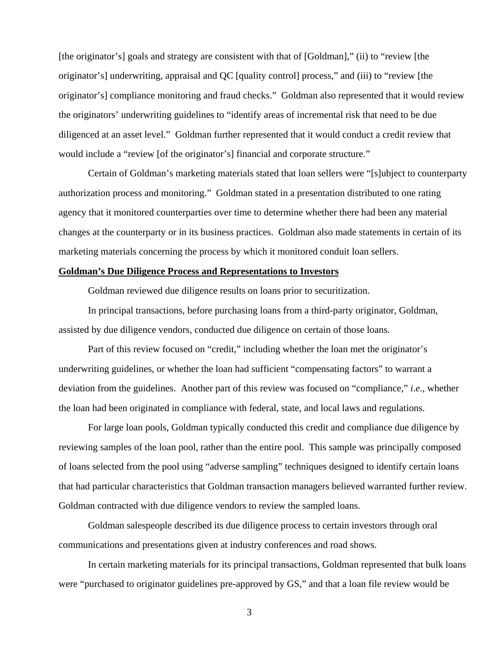[the originator's] goals and strategy are consistent with that of [Goldman]," (ii) to "review [the originator's] underwriting, appraisal and QC [quality control] process," and (iii) to "review [the originator's] compliance monitoring and fraud checks." Goldman also represented that it would review the originators' underwriting guidelines to "identify areas of incremental risk that need to be due diligenced at an asset level." Goldman further represented that it would conduct a credit review that would include a "review [of the originator's] financial and corporate structure."

Certain of Goldman's marketing materials stated that loan sellers were "[s]ubject to counterparty authorization process and monitoring." Goldman stated in a presentation distributed to one rating agency that it monitored counterparties over time to determine whether there had been any material changes at the counterparty or in its business practices. Goldman also made statements in certain of its marketing materials concerning the process by which it monitored conduit loan sellers.

### **Goldman's Due Diligence Process and Representations to Investors**

Goldman reviewed due diligence results on loans prior to securitization.

In principal transactions, before purchasing loans from a third-party originator, Goldman, assisted by due diligence vendors, conducted due diligence on certain of those loans.

Part of this review focused on "credit," including whether the loan met the originator's underwriting guidelines, or whether the loan had sufficient "compensating factors" to warrant a deviation from the guidelines. Another part of this review was focused on "compliance," *i*.*e*., whether the loan had been originated in compliance with federal, state, and local laws and regulations.

For large loan pools, Goldman typically conducted this credit and compliance due diligence by reviewing samples of the loan pool, rather than the entire pool. This sample was principally composed of loans selected from the pool using "adverse sampling" techniques designed to identify certain loans that had particular characteristics that Goldman transaction managers believed warranted further review. Goldman contracted with due diligence vendors to review the sampled loans.

Goldman salespeople described its due diligence process to certain investors through oral communications and presentations given at industry conferences and road shows.

In certain marketing materials for its principal transactions, Goldman represented that bulk loans were "purchased to originator guidelines pre-approved by GS," and that a loan file review would be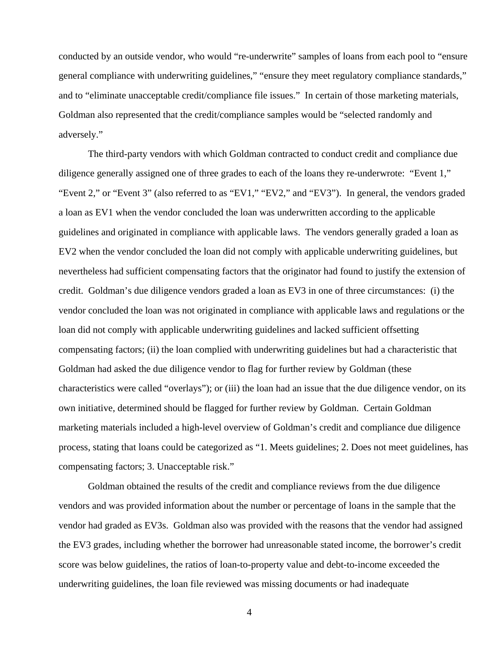conducted by an outside vendor, who would "re-underwrite" samples of loans from each pool to "ensure general compliance with underwriting guidelines," "ensure they meet regulatory compliance standards," and to "eliminate unacceptable credit/compliance file issues." In certain of those marketing materials, Goldman also represented that the credit/compliance samples would be "selected randomly and adversely."

The third-party vendors with which Goldman contracted to conduct credit and compliance due diligence generally assigned one of three grades to each of the loans they re-underwrote: "Event 1," "Event 2," or "Event 3" (also referred to as "EV1," "EV2," and "EV3"). In general, the vendors graded a loan as EV1 when the vendor concluded the loan was underwritten according to the applicable guidelines and originated in compliance with applicable laws. The vendors generally graded a loan as EV2 when the vendor concluded the loan did not comply with applicable underwriting guidelines, but nevertheless had sufficient compensating factors that the originator had found to justify the extension of credit. Goldman's due diligence vendors graded a loan as EV3 in one of three circumstances: (i) the vendor concluded the loan was not originated in compliance with applicable laws and regulations or the loan did not comply with applicable underwriting guidelines and lacked sufficient offsetting compensating factors; (ii) the loan complied with underwriting guidelines but had a characteristic that Goldman had asked the due diligence vendor to flag for further review by Goldman (these characteristics were called "overlays"); or (iii) the loan had an issue that the due diligence vendor, on its own initiative, determined should be flagged for further review by Goldman. Certain Goldman marketing materials included a high-level overview of Goldman's credit and compliance due diligence process, stating that loans could be categorized as "1. Meets guidelines; 2. Does not meet guidelines, has compensating factors; 3. Unacceptable risk."

Goldman obtained the results of the credit and compliance reviews from the due diligence vendors and was provided information about the number or percentage of loans in the sample that the vendor had graded as EV3s. Goldman also was provided with the reasons that the vendor had assigned the EV3 grades, including whether the borrower had unreasonable stated income, the borrower's credit score was below guidelines, the ratios of loan-to-property value and debt-to-income exceeded the underwriting guidelines, the loan file reviewed was missing documents or had inadequate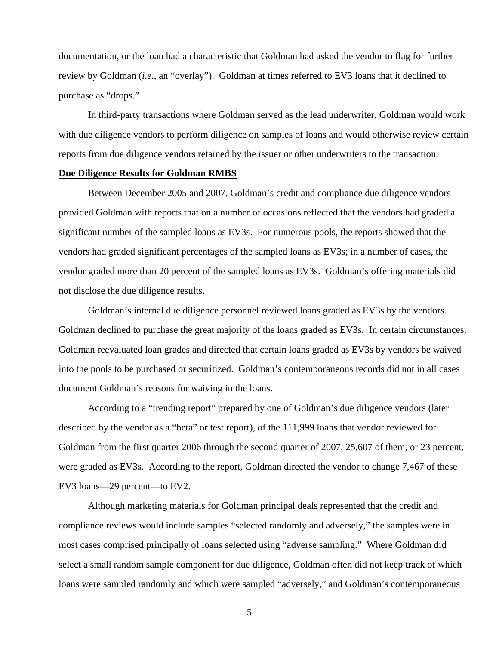documentation, or the loan had a characteristic that Goldman had asked the vendor to flag for further review by Goldman (*i*.*e*., an "overlay"). Goldman at times referred to EV3 loans that it declined to purchase as "drops."

In third-party transactions where Goldman served as the lead underwriter, Goldman would work with due diligence vendors to perform diligence on samples of loans and would otherwise review certain reports from due diligence vendors retained by the issuer or other underwriters to the transaction.

#### **Due Diligence Results for Goldman RMBS**

Between December 2005 and 2007, Goldman's credit and compliance due diligence vendors provided Goldman with reports that on a number of occasions reflected that the vendors had graded a significant number of the sampled loans as EV3s. For numerous pools, the reports showed that the vendors had graded significant percentages of the sampled loans as EV3s; in a number of cases, the vendor graded more than 20 percent of the sampled loans as EV3s. Goldman's offering materials did not disclose the due diligence results.

Goldman's internal due diligence personnel reviewed loans graded as EV3s by the vendors. Goldman declined to purchase the great majority of the loans graded as EV3s. In certain circumstances, Goldman reevaluated loan grades and directed that certain loans graded as EV3s by vendors be waived into the pools to be purchased or securitized. Goldman's contemporaneous records did not in all cases document Goldman's reasons for waiving in the loans.

According to a "trending report" prepared by one of Goldman's due diligence vendors (later described by the vendor as a "beta" or test report), of the 111,999 loans that vendor reviewed for Goldman from the first quarter 2006 through the second quarter of 2007, 25,607 of them, or 23 percent, were graded as EV3s. According to the report, Goldman directed the vendor to change 7,467 of these EV3 loans—29 percent—to EV2.

Although marketing materials for Goldman principal deals represented that the credit and compliance reviews would include samples "selected randomly and adversely," the samples were in most cases comprised principally of loans selected using "adverse sampling." Where Goldman did select a small random sample component for due diligence, Goldman often did not keep track of which loans were sampled randomly and which were sampled "adversely," and Goldman's contemporaneous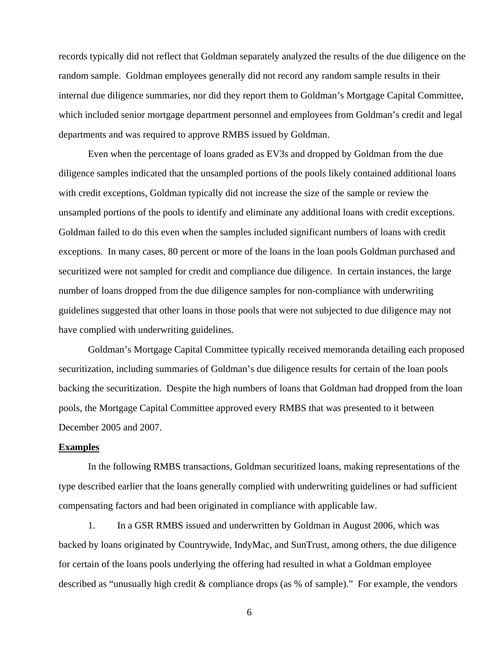records typically did not reflect that Goldman separately analyzed the results of the due diligence on the random sample. Goldman employees generally did not record any random sample results in their internal due diligence summaries, nor did they report them to Goldman's Mortgage Capital Committee, which included senior mortgage department personnel and employees from Goldman's credit and legal departments and was required to approve RMBS issued by Goldman.

Even when the percentage of loans graded as EV3s and dropped by Goldman from the due diligence samples indicated that the unsampled portions of the pools likely contained additional loans with credit exceptions, Goldman typically did not increase the size of the sample or review the unsampled portions of the pools to identify and eliminate any additional loans with credit exceptions. Goldman failed to do this even when the samples included significant numbers of loans with credit exceptions. In many cases, 80 percent or more of the loans in the loan pools Goldman purchased and securitized were not sampled for credit and compliance due diligence. In certain instances, the large number of loans dropped from the due diligence samples for non-compliance with underwriting guidelines suggested that other loans in those pools that were not subjected to due diligence may not have complied with underwriting guidelines.

Goldman's Mortgage Capital Committee typically received memoranda detailing each proposed securitization, including summaries of Goldman's due diligence results for certain of the loan pools backing the securitization. Despite the high numbers of loans that Goldman had dropped from the loan pools, the Mortgage Capital Committee approved every RMBS that was presented to it between December 2005 and 2007.

### **Examples**

In the following RMBS transactions, Goldman securitized loans, making representations of the type described earlier that the loans generally complied with underwriting guidelines or had sufficient compensating factors and had been originated in compliance with applicable law.

1. In a GSR RMBS issued and underwritten by Goldman in August 2006, which was backed by loans originated by Countrywide, IndyMac, and SunTrust, among others, the due diligence for certain of the loans pools underlying the offering had resulted in what a Goldman employee described as "unusually high credit & compliance drops (as % of sample)." For example, the vendors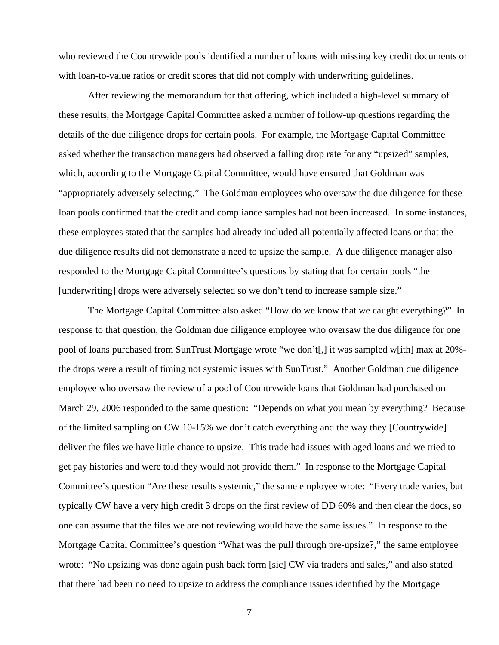who reviewed the Countrywide pools identified a number of loans with missing key credit documents or with loan-to-value ratios or credit scores that did not comply with underwriting guidelines.

After reviewing the memorandum for that offering, which included a high-level summary of these results, the Mortgage Capital Committee asked a number of follow-up questions regarding the details of the due diligence drops for certain pools. For example, the Mortgage Capital Committee asked whether the transaction managers had observed a falling drop rate for any "upsized" samples, which, according to the Mortgage Capital Committee, would have ensured that Goldman was "appropriately adversely selecting." The Goldman employees who oversaw the due diligence for these loan pools confirmed that the credit and compliance samples had not been increased. In some instances, these employees stated that the samples had already included all potentially affected loans or that the due diligence results did not demonstrate a need to upsize the sample. A due diligence manager also responded to the Mortgage Capital Committee's questions by stating that for certain pools "the [underwriting] drops were adversely selected so we don't tend to increase sample size."

The Mortgage Capital Committee also asked "How do we know that we caught everything?" In response to that question, the Goldman due diligence employee who oversaw the due diligence for one pool of loans purchased from SunTrust Mortgage wrote "we don't[,] it was sampled w[ith] max at 20% the drops were a result of timing not systemic issues with SunTrust." Another Goldman due diligence employee who oversaw the review of a pool of Countrywide loans that Goldman had purchased on March 29, 2006 responded to the same question: "Depends on what you mean by everything? Because of the limited sampling on CW 10-15% we don't catch everything and the way they [Countrywide] deliver the files we have little chance to upsize. This trade had issues with aged loans and we tried to get pay histories and were told they would not provide them." In response to the Mortgage Capital Committee's question "Are these results systemic," the same employee wrote: "Every trade varies, but typically CW have a very high credit 3 drops on the first review of DD 60% and then clear the docs, so one can assume that the files we are not reviewing would have the same issues." In response to the Mortgage Capital Committee's question "What was the pull through pre-upsize?," the same employee wrote: "No upsizing was done again push back form [sic] CW via traders and sales," and also stated that there had been no need to upsize to address the compliance issues identified by the Mortgage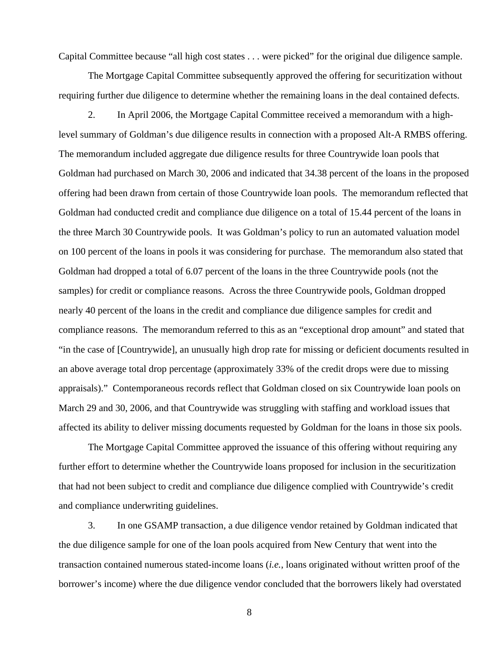Capital Committee because "all high cost states . . . were picked" for the original due diligence sample.

The Mortgage Capital Committee subsequently approved the offering for securitization without requiring further due diligence to determine whether the remaining loans in the deal contained defects.

2. In April 2006, the Mortgage Capital Committee received a memorandum with a highlevel summary of Goldman's due diligence results in connection with a proposed Alt-A RMBS offering. The memorandum included aggregate due diligence results for three Countrywide loan pools that Goldman had purchased on March 30, 2006 and indicated that 34.38 percent of the loans in the proposed offering had been drawn from certain of those Countrywide loan pools. The memorandum reflected that Goldman had conducted credit and compliance due diligence on a total of 15.44 percent of the loans in the three March 30 Countrywide pools. It was Goldman's policy to run an automated valuation model on 100 percent of the loans in pools it was considering for purchase. The memorandum also stated that Goldman had dropped a total of 6.07 percent of the loans in the three Countrywide pools (not the samples) for credit or compliance reasons. Across the three Countrywide pools, Goldman dropped nearly 40 percent of the loans in the credit and compliance due diligence samples for credit and compliance reasons. The memorandum referred to this as an "exceptional drop amount" and stated that "in the case of [Countrywide], an unusually high drop rate for missing or deficient documents resulted in an above average total drop percentage (approximately 33% of the credit drops were due to missing appraisals)." Contemporaneous records reflect that Goldman closed on six Countrywide loan pools on March 29 and 30, 2006, and that Countrywide was struggling with staffing and workload issues that affected its ability to deliver missing documents requested by Goldman for the loans in those six pools.

The Mortgage Capital Committee approved the issuance of this offering without requiring any further effort to determine whether the Countrywide loans proposed for inclusion in the securitization that had not been subject to credit and compliance due diligence complied with Countrywide's credit and compliance underwriting guidelines.

3. In one GSAMP transaction, a due diligence vendor retained by Goldman indicated that the due diligence sample for one of the loan pools acquired from New Century that went into the transaction contained numerous stated-income loans (*i.e.*, loans originated without written proof of the borrower's income) where the due diligence vendor concluded that the borrowers likely had overstated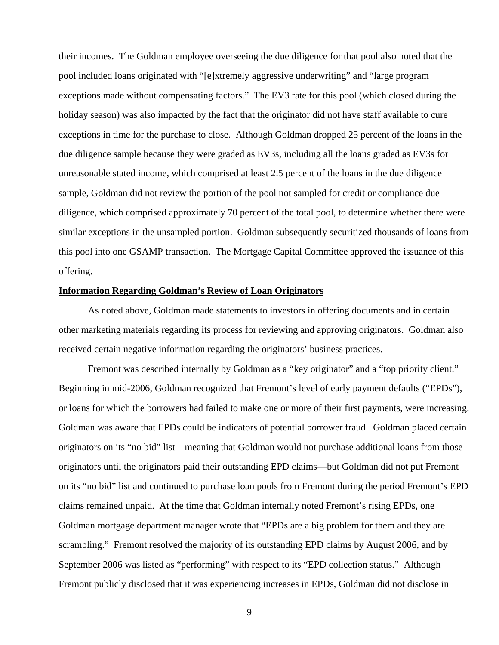their incomes. The Goldman employee overseeing the due diligence for that pool also noted that the pool included loans originated with "[e]xtremely aggressive underwriting" and "large program exceptions made without compensating factors." The EV3 rate for this pool (which closed during the holiday season) was also impacted by the fact that the originator did not have staff available to cure exceptions in time for the purchase to close. Although Goldman dropped 25 percent of the loans in the due diligence sample because they were graded as EV3s, including all the loans graded as EV3s for unreasonable stated income, which comprised at least 2.5 percent of the loans in the due diligence sample, Goldman did not review the portion of the pool not sampled for credit or compliance due diligence, which comprised approximately 70 percent of the total pool, to determine whether there were similar exceptions in the unsampled portion. Goldman subsequently securitized thousands of loans from this pool into one GSAMP transaction. The Mortgage Capital Committee approved the issuance of this offering.

## **Information Regarding Goldman's Review of Loan Originators**

As noted above, Goldman made statements to investors in offering documents and in certain other marketing materials regarding its process for reviewing and approving originators. Goldman also received certain negative information regarding the originators' business practices.

Fremont was described internally by Goldman as a "key originator" and a "top priority client." Beginning in mid-2006, Goldman recognized that Fremont's level of early payment defaults ("EPDs"), or loans for which the borrowers had failed to make one or more of their first payments, were increasing. Goldman was aware that EPDs could be indicators of potential borrower fraud. Goldman placed certain originators on its "no bid" list—meaning that Goldman would not purchase additional loans from those originators until the originators paid their outstanding EPD claims—but Goldman did not put Fremont on its "no bid" list and continued to purchase loan pools from Fremont during the period Fremont's EPD claims remained unpaid. At the time that Goldman internally noted Fremont's rising EPDs, one Goldman mortgage department manager wrote that "EPDs are a big problem for them and they are scrambling." Fremont resolved the majority of its outstanding EPD claims by August 2006, and by September 2006 was listed as "performing" with respect to its "EPD collection status." Although Fremont publicly disclosed that it was experiencing increases in EPDs, Goldman did not disclose in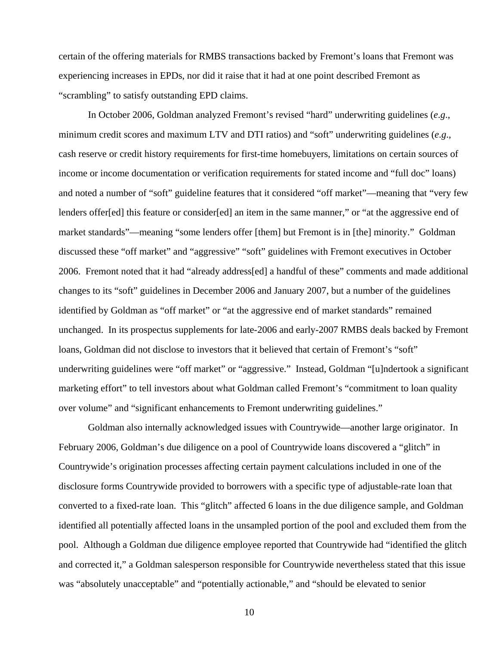certain of the offering materials for RMBS transactions backed by Fremont's loans that Fremont was experiencing increases in EPDs, nor did it raise that it had at one point described Fremont as "scrambling" to satisfy outstanding EPD claims.

In October 2006, Goldman analyzed Fremont's revised "hard" underwriting guidelines (*e*.*g*., minimum credit scores and maximum LTV and DTI ratios) and "soft" underwriting guidelines (*e*.*g*., cash reserve or credit history requirements for first-time homebuyers, limitations on certain sources of income or income documentation or verification requirements for stated income and "full doc" loans) and noted a number of "soft" guideline features that it considered "off market"—meaning that "very few lenders offer[ed] this feature or consider[ed] an item in the same manner," or "at the aggressive end of market standards"—meaning "some lenders offer [them] but Fremont is in [the] minority." Goldman discussed these "off market" and "aggressive" "soft" guidelines with Fremont executives in October 2006. Fremont noted that it had "already address[ed] a handful of these" comments and made additional changes to its "soft" guidelines in December 2006 and January 2007, but a number of the guidelines identified by Goldman as "off market" or "at the aggressive end of market standards" remained unchanged. In its prospectus supplements for late-2006 and early-2007 RMBS deals backed by Fremont loans, Goldman did not disclose to investors that it believed that certain of Fremont's "soft" underwriting guidelines were "off market" or "aggressive." Instead, Goldman "[u]ndertook a significant marketing effort" to tell investors about what Goldman called Fremont's "commitment to loan quality over volume" and "significant enhancements to Fremont underwriting guidelines."

Goldman also internally acknowledged issues with Countrywide—another large originator. In February 2006, Goldman's due diligence on a pool of Countrywide loans discovered a "glitch" in Countrywide's origination processes affecting certain payment calculations included in one of the disclosure forms Countrywide provided to borrowers with a specific type of adjustable-rate loan that converted to a fixed-rate loan. This "glitch" affected 6 loans in the due diligence sample, and Goldman identified all potentially affected loans in the unsampled portion of the pool and excluded them from the pool. Although a Goldman due diligence employee reported that Countrywide had "identified the glitch and corrected it," a Goldman salesperson responsible for Countrywide nevertheless stated that this issue was "absolutely unacceptable" and "potentially actionable," and "should be elevated to senior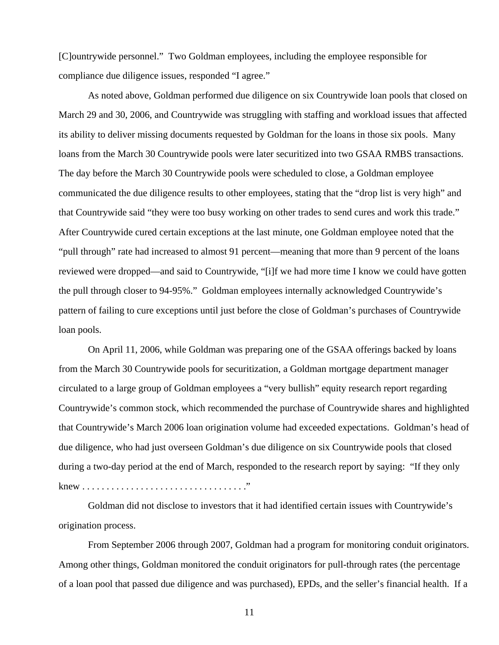[C]ountrywide personnel." Two Goldman employees, including the employee responsible for compliance due diligence issues, responded "I agree."

As noted above, Goldman performed due diligence on six Countrywide loan pools that closed on March 29 and 30, 2006, and Countrywide was struggling with staffing and workload issues that affected its ability to deliver missing documents requested by Goldman for the loans in those six pools. Many loans from the March 30 Countrywide pools were later securitized into two GSAA RMBS transactions. The day before the March 30 Countrywide pools were scheduled to close, a Goldman employee communicated the due diligence results to other employees, stating that the "drop list is very high" and that Countrywide said "they were too busy working on other trades to send cures and work this trade." After Countrywide cured certain exceptions at the last minute, one Goldman employee noted that the "pull through" rate had increased to almost 91 percent—meaning that more than 9 percent of the loans reviewed were dropped—and said to Countrywide, "[i]f we had more time I know we could have gotten the pull through closer to 94-95%." Goldman employees internally acknowledged Countrywide's pattern of failing to cure exceptions until just before the close of Goldman's purchases of Countrywide loan pools.

On April 11, 2006, while Goldman was preparing one of the GSAA offerings backed by loans from the March 30 Countrywide pools for securitization, a Goldman mortgage department manager circulated to a large group of Goldman employees a "very bullish" equity research report regarding Countrywide's common stock, which recommended the purchase of Countrywide shares and highlighted that Countrywide's March 2006 loan origination volume had exceeded expectations. Goldman's head of due diligence, who had just overseen Goldman's due diligence on six Countrywide pools that closed during a two-day period at the end of March, responded to the research report by saying: "If they only knew . . . . . . . . . . . . . . . . . . . . . . . . . . . . . . . . . ."

Goldman did not disclose to investors that it had identified certain issues with Countrywide's origination process.

From September 2006 through 2007, Goldman had a program for monitoring conduit originators. Among other things, Goldman monitored the conduit originators for pull-through rates (the percentage of a loan pool that passed due diligence and was purchased), EPDs, and the seller's financial health. If a